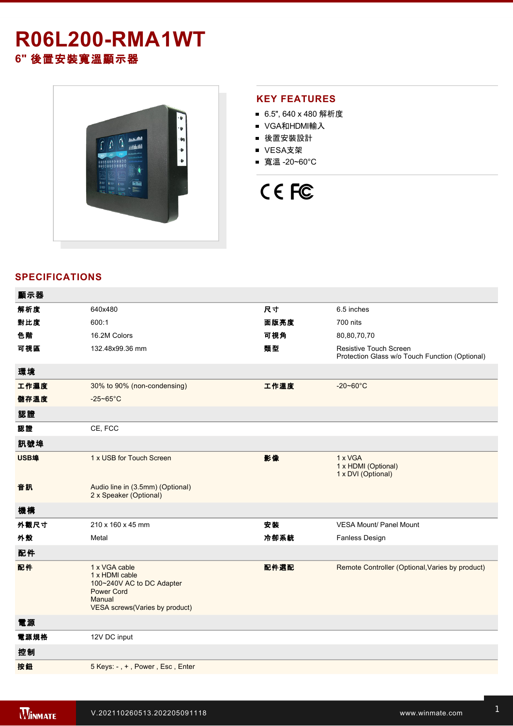## **R06L200RMA1WT 6"** 後置安裝寬溫顯示器



### **KEY FEATURES**

- 6.5", 640 x 480 解析度
- VGA和HDMI輸入
- 後置安裝設計
- VESA支架
- 寬溫 -20~60°C

# CE FC

#### **SPECIFICATIONS**

| 顯示器  |                                                                                                                               |      |                                                                          |
|------|-------------------------------------------------------------------------------------------------------------------------------|------|--------------------------------------------------------------------------|
| 解析度  | 640x480                                                                                                                       | 尺寸   | 6.5 inches                                                               |
| 對比度  | 600:1                                                                                                                         | 面版亮度 | 700 nits                                                                 |
| 色階   | 16.2M Colors                                                                                                                  | 可視角  | 80,80,70,70                                                              |
| 可視區  | 132.48x99.36 mm                                                                                                               | 類型   | Resistive Touch Screen<br>Protection Glass w/o Touch Function (Optional) |
| 環境   |                                                                                                                               |      |                                                                          |
| 工作濕度 | 30% to 90% (non-condensing)                                                                                                   | 工作溫度 | $-20 - 60^{\circ}$ C                                                     |
| 儲存溫度 | $-25 - 65$ °C                                                                                                                 |      |                                                                          |
| 認證   |                                                                                                                               |      |                                                                          |
| 認證   | CE, FCC                                                                                                                       |      |                                                                          |
| 訊號埠  |                                                                                                                               |      |                                                                          |
| USB埠 | 1 x USB for Touch Screen                                                                                                      | 影像   | 1 x VGA<br>1 x HDMI (Optional)<br>1 x DVI (Optional)                     |
| 音訊   | Audio line in (3.5mm) (Optional)<br>2 x Speaker (Optional)                                                                    |      |                                                                          |
| 機構   |                                                                                                                               |      |                                                                          |
| 外觀尺寸 | 210 x 160 x 45 mm                                                                                                             | 安装   | <b>VESA Mount/ Panel Mount</b>                                           |
| 外殼   | Metal                                                                                                                         | 冷卻系統 | Fanless Design                                                           |
| 配件   |                                                                                                                               |      |                                                                          |
| 配件   | 1 x VGA cable<br>1 x HDMI cable<br>100~240V AC to DC Adapter<br><b>Power Cord</b><br>Manual<br>VESA screws(Varies by product) | 配件選配 | Remote Controller (Optional, Varies by product)                          |
| 電源   |                                                                                                                               |      |                                                                          |
| 電源規格 | 12V DC input                                                                                                                  |      |                                                                          |
| 控制   |                                                                                                                               |      |                                                                          |
| 按鈕   | 5 Keys: -, +, Power, Esc, Enter                                                                                               |      |                                                                          |
|      |                                                                                                                               |      |                                                                          |

**DIMENSIONS**  UNIT:MM